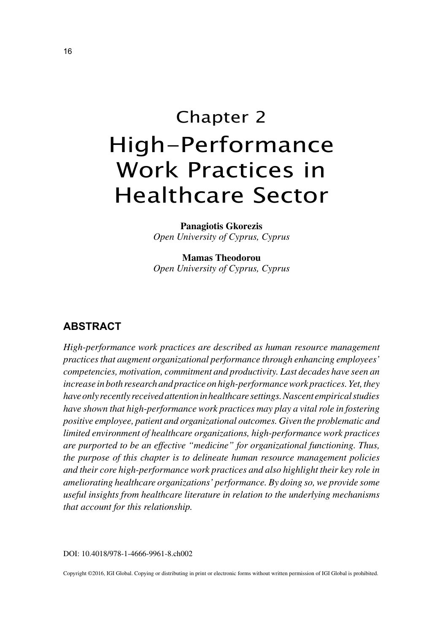# Chapter 2 High-Performance Work Practices in Healthcare Sector

**Panagiotis Gkorezis** *Open University of Cyprus, Cyprus*

**Mamas Theodorou** *Open University of Cyprus, Cyprus*

## **ABSTRACT**

*High-performance work practices are described as human resource management practices that augment organizational performance through enhancing employees' competencies, motivation, commitment and productivity. Last decades have seen an increase in both research and practice on high-performance work practices. Yet, they have only recently received attention in healthcare settings. Nascent empirical studies have shown that high-performance work practices may play a vital role in fostering positive employee, patient and organizational outcomes. Given the problematic and limited environment of healthcare organizations, high-performance work practices are purported to be an effective "medicine" for organizational functioning. Thus, the purpose of this chapter is to delineate human resource management policies and their core high-performance work practices and also highlight their key role in ameliorating healthcare organizations' performance. By doing so, we provide some useful insights from healthcare literature in relation to the underlying mechanisms that account for this relationship.*

DOI: 10.4018/978-1-4666-9961-8.ch002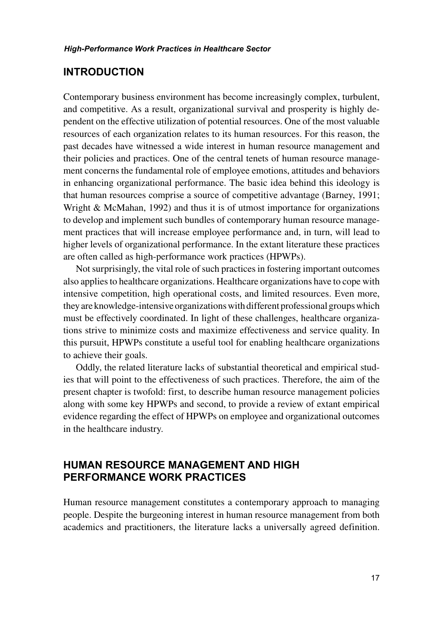## **INTRODUCTION**

Contemporary business environment has become increasingly complex, turbulent, and competitive. As a result, organizational survival and prosperity is highly dependent on the effective utilization of potential resources. One of the most valuable resources of each organization relates to its human resources. For this reason, the past decades have witnessed a wide interest in human resource management and their policies and practices. One of the central tenets of human resource management concerns the fundamental role of employee emotions, attitudes and behaviors in enhancing organizational performance. The basic idea behind this ideology is that human resources comprise a source of competitive advantage (Barney, 1991; Wright & McMahan, 1992) and thus it is of utmost importance for organizations to develop and implement such bundles of contemporary human resource management practices that will increase employee performance and, in turn, will lead to higher levels of organizational performance. In the extant literature these practices are often called as high-performance work practices (HPWPs).

Not surprisingly, the vital role of such practices in fostering important outcomes also applies to healthcare organizations. Healthcare organizations have to cope with intensive competition, high operational costs, and limited resources. Even more, they are knowledge-intensive organizations with different professional groups which must be effectively coordinated. In light of these challenges, healthcare organizations strive to minimize costs and maximize effectiveness and service quality. In this pursuit, HPWPs constitute a useful tool for enabling healthcare organizations to achieve their goals.

Oddly, the related literature lacks of substantial theoretical and empirical studies that will point to the effectiveness of such practices. Therefore, the aim of the present chapter is twofold: first, to describe human resource management policies along with some key HPWPs and second, to provide a review of extant empirical evidence regarding the effect of HPWPs on employee and organizational outcomes in the healthcare industry.

## **HUMAN RESOURCE MANAGEMENT AND HIGH PERFORMANCE WORK PRACTICES**

Human resource management constitutes a contemporary approach to managing people. Despite the burgeoning interest in human resource management from both academics and practitioners, the literature lacks a universally agreed definition.